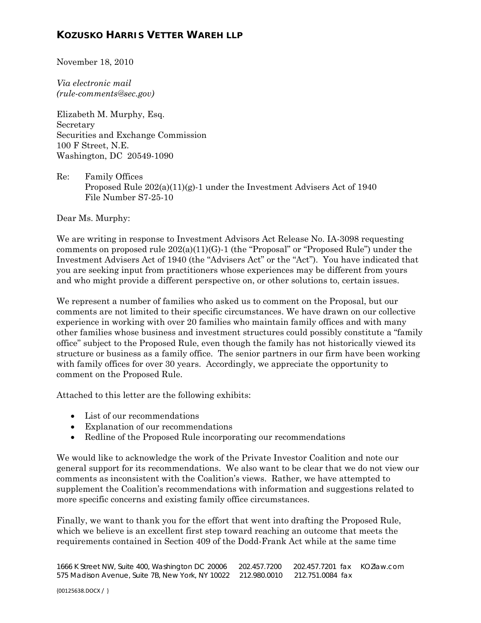# **KOZUSKO HARRIS VETTER WAREH LLP**

November 18, 2010

*Via electronic mail (rule-comments@sec.gov)* 

Elizabeth M. Murphy, Esq. Secretary Securities and Exchange Commission 100 F Street, N.E. Washington, DC 20549-1090

Re: Family Offices Proposed Rule  $202(a)(11)(g)$ -1 under the Investment Advisers Act of 1940 File Number S7-25-10

Dear Ms. Murphy:

We are writing in response to Investment Advisors Act Release No. IA-3098 requesting comments on proposed rule  $202(a)(11)(G)$ -1 (the "Proposal" or "Proposed Rule") under the Investment Advisers Act of 1940 (the "Advisers Act" or the "Act"). You have indicated that you are seeking input from practitioners whose experiences may be different from yours and who might provide a different perspective on, or other solutions to, certain issues.

We represent a number of families who asked us to comment on the Proposal, but our comments are not limited to their specific circumstances. We have drawn on our collective experience in working with over 20 families who maintain family offices and with many other families whose business and investment structures could possibly constitute a "family office" subject to the Proposed Rule, even though the family has not historically viewed its structure or business as a family office. The senior partners in our firm have been working with family offices for over 30 years. Accordingly, we appreciate the opportunity to comment on the Proposed Rule.

Attached to this letter are the following exhibits:

- List of our recommendations
- Explanation of our recommendations
- Redline of the Proposed Rule incorporating our recommendations

We would like to acknowledge the work of the Private Investor Coalition and note our general support for its recommendations. We also want to be clear that we do not view our comments as inconsistent with the Coalition's views. Rather, we have attempted to supplement the Coalition's recommendations with information and suggestions related to more specific concerns and existing family office circumstances.

Finally, we want to thank you for the effort that went into drafting the Proposed Rule, which we believe is an excellent first step toward reaching an outcome that meets the requirements contained in Section 409 of the Dodd-Frank Act while at the same time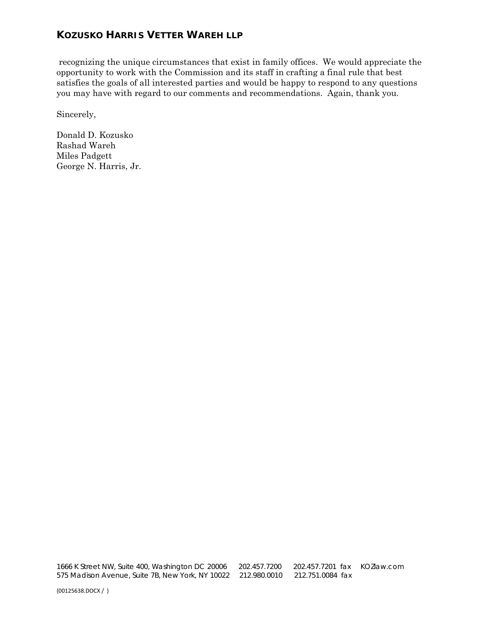# **KOZUSKO HARRIS VETTER WAREH LLP**

 recognizing the unique circumstances that exist in family offices. We would appreciate the opportunity to work with the Commission and its staff in crafting a final rule that best satisfies the goals of all interested parties and would be happy to respond to any questions you may have with regard to our comments and recommendations. Again, thank you.

Sincerely,

Donald D. Kozusko Rashad Wareh Miles Padgett George N. Harris, Jr.

 1666 K Street NW, Suite 400, Washington DC 20006 202.457.7200 202.457.7201 fax KOZlaw.com 575 Madison Avenue, Suite 7B, New York, NY 10022 212.980.0010 212.751.0084 fax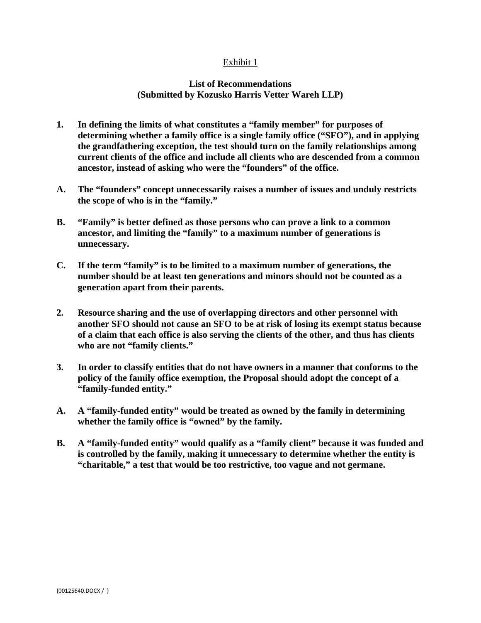#### Exhibit 1

#### **List of Recommendations (Submitted by Kozusko Harris Vetter Wareh LLP)**

- **1. In defining the limits of what constitutes a "family member" for purposes of determining whether a family office is a single family office ("SFO"), and in applying the grandfathering exception, the test should turn on the family relationships among current clients of the office and include all clients who are descended from a common ancestor, instead of asking who were the "founders" of the office.**
- **A. The "founders" concept unnecessarily raises a number of issues and unduly restricts the scope of who is in the "family."**
- **B. "Family" is better defined as those persons who can prove a link to a common ancestor, and limiting the "family" to a maximum number of generations is unnecessary.**
- **C. If the term "family" is to be limited to a maximum number of generations, the number should be at least ten generations and minors should not be counted as a generation apart from their parents.**
- **2. Resource sharing and the use of overlapping directors and other personnel with another SFO should not cause an SFO to be at risk of losing its exempt status because of a claim that each office is also serving the clients of the other, and thus has clients who are not "family clients."**
- **3. In order to classify entities that do not have owners in a manner that conforms to the policy of the family office exemption, the Proposal should adopt the concept of a "family-funded entity."**
- **A. A "family-funded entity" would be treated as owned by the family in determining whether the family office is "owned" by the family.**
- **B. A "family-funded entity" would qualify as a "family client" because it was funded and is controlled by the family, making it unnecessary to determine whether the entity is "charitable," a test that would be too restrictive, too vague and not germane.**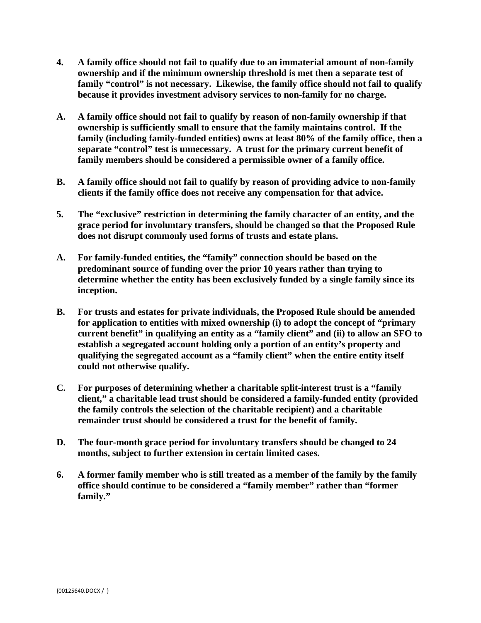- **4. A family office should not fail to qualify due to an immaterial amount of non-family ownership and if the minimum ownership threshold is met then a separate test of**  family "control" is not necessary. Likewise, the family office should not fail to qualify **because it provides investment advisory services to non-family for no charge.**
- **A. A family office should not fail to qualify by reason of non-family ownership if that ownership is sufficiently small to ensure that the family maintains control. If the family (including family-funded entities) owns at least 80% of the family office, then a separate "control" test is unnecessary. A trust for the primary current benefit of family members should be considered a permissible owner of a family office.**
- **B. A family office should not fail to qualify by reason of providing advice to non-family clients if the family office does not receive any compensation for that advice.**
- **5. The "exclusive" restriction in determining the family character of an entity, and the grace period for involuntary transfers, should be changed so that the Proposed Rule does not disrupt commonly used forms of trusts and estate plans.**
- **A. For family-funded entities, the "family" connection should be based on the predominant source of funding over the prior 10 years rather than trying to determine whether the entity has been exclusively funded by a single family since its inception.**
- **B. For trusts and estates for private individuals, the Proposed Rule should be amended for application to entities with mixed ownership (i) to adopt the concept of "primary current benefit" in qualifying an entity as a "family client" and (ii) to allow an SFO to establish a segregated account holding only a portion of an entity's property and qualifying the segregated account as a "family client" when the entire entity itself could not otherwise qualify.**
- **C. For purposes of determining whether a charitable split-interest trust is a "family client," a charitable lead trust should be considered a family-funded entity (provided the family controls the selection of the charitable recipient) and a charitable remainder trust should be considered a trust for the benefit of family.**
- **D. The four-month grace period for involuntary transfers should be changed to 24 months, subject to further extension in certain limited cases.**
- **6. A former family member who is still treated as a member of the family by the family office should continue to be considered a "family member" rather than "former family."**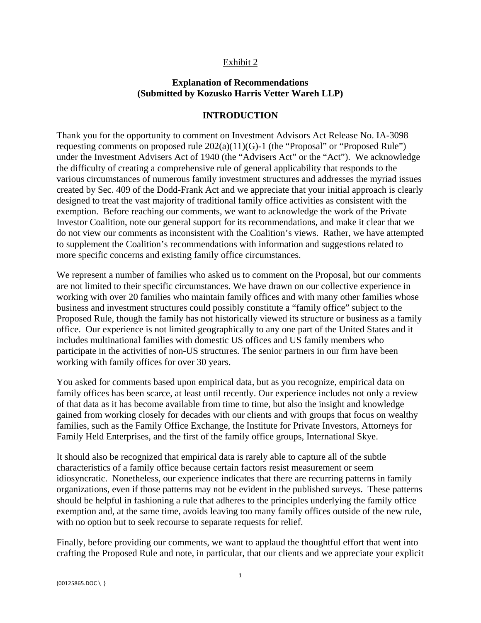#### Exhibit 2

## **Explanation of Recommendations (Submitted by Kozusko Harris Vetter Wareh LLP)**

#### **INTRODUCTION**

Thank you for the opportunity to comment on Investment Advisors Act Release No. IA-3098 requesting comments on proposed rule 202(a)(11)(G)-1 (the "Proposal" or "Proposed Rule") under the Investment Advisers Act of 1940 (the "Advisers Act" or the "Act"). We acknowledge the difficulty of creating a comprehensive rule of general applicability that responds to the various circumstances of numerous family investment structures and addresses the myriad issues created by Sec. 409 of the Dodd-Frank Act and we appreciate that your initial approach is clearly designed to treat the vast majority of traditional family office activities as consistent with the exemption. Before reaching our comments, we want to acknowledge the work of the Private Investor Coalition, note our general support for its recommendations, and make it clear that we do not view our comments as inconsistent with the Coalition's views. Rather, we have attempted to supplement the Coalition's recommendations with information and suggestions related to more specific concerns and existing family office circumstances.

We represent a number of families who asked us to comment on the Proposal, but our comments are not limited to their specific circumstances. We have drawn on our collective experience in working with over 20 families who maintain family offices and with many other families whose business and investment structures could possibly constitute a "family office" subject to the Proposed Rule, though the family has not historically viewed its structure or business as a family office. Our experience is not limited geographically to any one part of the United States and it includes multinational families with domestic US offices and US family members who participate in the activities of non-US structures. The senior partners in our firm have been working with family offices for over 30 years.

You asked for comments based upon empirical data, but as you recognize, empirical data on family offices has been scarce, at least until recently. Our experience includes not only a review of that data as it has become available from time to time, but also the insight and knowledge gained from working closely for decades with our clients and with groups that focus on wealthy families, such as the Family Office Exchange, the Institute for Private Investors, Attorneys for Family Held Enterprises, and the first of the family office groups, International Skye.

It should also be recognized that empirical data is rarely able to capture all of the subtle characteristics of a family office because certain factors resist measurement or seem idiosyncratic. Nonetheless, our experience indicates that there are recurring patterns in family organizations, even if those patterns may not be evident in the published surveys. These patterns should be helpful in fashioning a rule that adheres to the principles underlying the family office exemption and, at the same time, avoids leaving too many family offices outside of the new rule, with no option but to seek recourse to separate requests for relief.

Finally, before providing our comments, we want to applaud the thoughtful effort that went into crafting the Proposed Rule and note, in particular, that our clients and we appreciate your explicit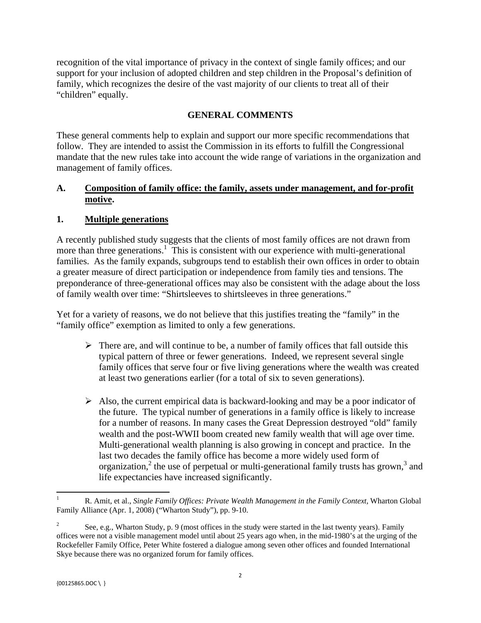recognition of the vital importance of privacy in the context of single family offices; and our support for your inclusion of adopted children and step children in the Proposal's definition of family, which recognizes the desire of the vast majority of our clients to treat all of their "children" equally.

## **GENERAL COMMENTS**

These general comments help to explain and support our more specific recommendations that follow. They are intended to assist the Commission in its efforts to fulfill the Congressional mandate that the new rules take into account the wide range of variations in the organization and management of family offices.

## **A. Composition of family office: the family, assets under management, and for-profit motive.**

#### **1. Multiple generations**

A recently published study suggests that the clients of most family offices are not drawn from more than three generations.<sup>1</sup> This is consistent with our experience with multi-generational families. As the family expands, subgroups tend to establish their own offices in order to obtain a greater measure of direct participation or independence from family ties and tensions. The preponderance of three-generational offices may also be consistent with the adage about the loss of family wealth over time: "Shirtsleeves to shirtsleeves in three generations."

Yet for a variety of reasons, we do not believe that this justifies treating the "family" in the "family office" exemption as limited to only a few generations.

- $\triangleright$  There are, and will continue to be, a number of family offices that fall outside this typical pattern of three or fewer generations. Indeed, we represent several single family offices that serve four or five living generations where the wealth was created at least two generations earlier (for a total of six to seven generations).
- $\triangleright$  Also, the current empirical data is backward-looking and may be a poor indicator of the future. The typical number of generations in a family office is likely to increase for a number of reasons. In many cases the Great Depression destroyed "old" family wealth and the post-WWII boom created new family wealth that will age over time. Multi-generational wealth planning is also growing in concept and practice. In the last two decades the family office has become a more widely used form of organization,<sup>2</sup> the use of perpetual or multi-generational family trusts has grown,<sup>[3](#page-6-0)</sup> and life expectancies have increased significantly.

 1 R. Amit, et al., *Single Family Offices: Private Wealth Management in the Family Context,* Wharton Global Family Alliance (Apr. 1, 2008) ("Wharton Study"), pp. 9-10.

See, e.g., Wharton Study, p. 9 (most offices in the study were started in the last twenty years). Family offices were not a visible management model until about 25 years ago when, in the mid-1980's at the urging of the Rockefeller Family Office, Peter White fostered a dialogue among seven other offices and founded International Skye because there was no organized forum for family offices.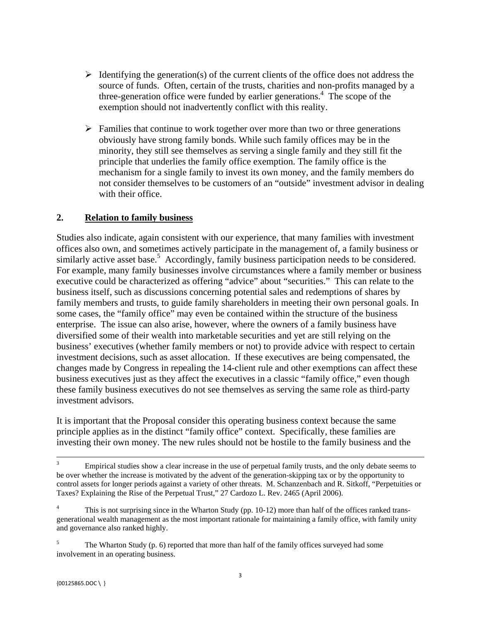- <span id="page-6-0"></span> $\triangleright$  Identifying the generation(s) of the current clients of the office does not address the source of funds. Often, certain of the trusts, charities and non-profits managed by a three-generation office were funded by earlier generations.<sup>4</sup> The scope of the exemption should not inadvertently conflict with this reality.
- $\triangleright$  Families that continue to work together over more than two or three generations obviously have strong family bonds. While such family offices may be in the minority, they still see themselves as serving a single family and they still fit the principle that underlies the family office exemption. The family office is the mechanism for a single family to invest its own money, and the family members do not consider themselves to be customers of an "outside" investment advisor in dealing with their office.

#### **2. Relation to family business**

Studies also indicate, again consistent with our experience, that many families with investment offices also own, and sometimes actively participate in the management of, a family business or similarly active asset base.<sup>5</sup> Accordingly, family business participation needs to be considered. For example, many family businesses involve circumstances where a family member or business executive could be characterized as offering "advice" about "securities." This can relate to the business itself, such as discussions concerning potential sales and redemptions of shares by family members and trusts, to guide family shareholders in meeting their own personal goals. In some cases, the "family office" may even be contained within the structure of the business enterprise. The issue can also arise, however, where the owners of a family business have diversified some of their wealth into marketable securities and yet are still relying on the business' executives (whether family members or not) to provide advice with respect to certain investment decisions, such as asset allocation. If these executives are being compensated, the changes made by Congress in repealing the 14-client rule and other exemptions can affect these business executives just as they affect the executives in a classic "family office," even though these family business executives do not see themselves as serving the same role as third-party investment advisors.

It is important that the Proposal consider this operating business context because the same principle applies as in the distinct "family office" context. Specifically, these families are investing their own money. The new rules should not be hostile to the family business and the

<u> 1989 - Johann Stein, marwolaethau a gweledydd a ganlad y ganlad y ganlad y ganlad y ganlad y ganlad y ganlad</u>

Empirical studies show a clear increase in the use of perpetual family trusts, and the only debate seems to be over whether the increase is motivated by the advent of the generation-skipping tax or by the opportunity to control assets for longer periods against a variety of other threats. M. Schanzenbach and R. Sitkoff, "Perpetuities or Taxes? Explaining the Rise of the Perpetual Trust," 27 Cardozo L. Rev. 2465 (April 2006).

 $\sqrt{4}$  and governance also ranked highly. This is not surprising since in the Wharton Study (pp. 10-12) more than half of the offices ranked transgenerational wealth management as the most important rationale for maintaining a family office, with family unity

 involvement in an operating business. 5 The Wharton Study (p. 6) reported that more than half of the family offices surveyed had some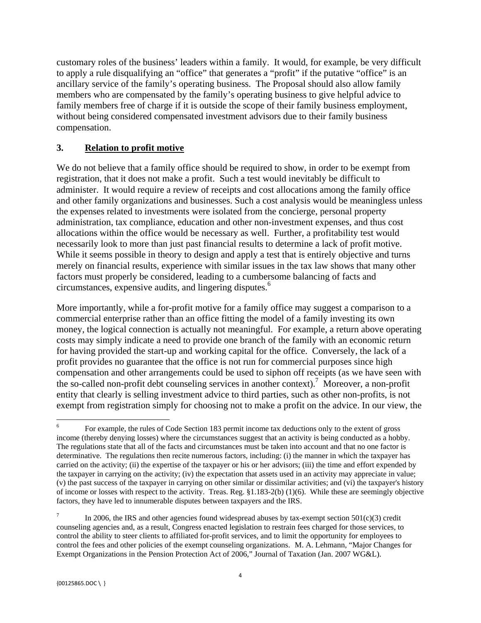customary roles of the business' leaders within a family. It would, for example, be very difficult to apply a rule disqualifying an "office" that generates a "profit" if the putative "office" is an ancillary service of the family's operating business. The Proposal should also allow family members who are compensated by the family's operating business to give helpful advice to family members free of charge if it is outside the scope of their family business employment, without being considered compensated investment advisors due to their family business compensation.

## **3. Relation to profit motive**

 circumstances, expensive audits, and lingering disputes.6 We do not believe that a family office should be required to show, in order to be exempt from registration, that it does not make a profit. Such a test would inevitably be difficult to administer. It would require a review of receipts and cost allocations among the family office and other family organizations and businesses. Such a cost analysis would be meaningless unless the expenses related to investments were isolated from the concierge, personal property administration, tax compliance, education and other non-investment expenses, and thus cost allocations within the office would be necessary as well. Further, a profitability test would necessarily look to more than just past financial results to determine a lack of profit motive. While it seems possible in theory to design and apply a test that is entirely objective and turns merely on financial results, experience with similar issues in the tax law shows that many other factors must properly be considered, leading to a cumbersome balancing of facts and

More importantly, while a for-profit motive for a family office may suggest a comparison to a commercial enterprise rather than an office fitting the model of a family investing its own money, the logical connection is actually not meaningful. For example, a return above operating costs may simply indicate a need to provide one branch of the family with an economic return for having provided the start-up and working capital for the office. Conversely, the lack of a profit provides no guarantee that the office is not run for commercial purposes since high compensation and other arrangements could be used to siphon off receipts (as we have seen with the so-called non-profit debt counseling services in another context).<sup>7</sup> Moreover, a non-profit entity that clearly is selling investment advice to third parties, such as other non-profits, is not exempt from registration simply for choosing not to make a profit on the advice. In our view, the

 The regulations state that all of the facts and circumstances must be taken into account and that no one factor is carried on the activity; (ii) the expertise of the taxpayer or his or her advisors; (iii) the time and effort expended by of income or losses with respect to the activity. Treas. Reg. §1.183-2(b) (1)(6). While these are seemingly objective factors, they have led to innumerable disputes between taxpayers and the IRS. For example, the rules of Code Section 183 permit income tax deductions only to the extent of gross income (thereby denying losses) where the circumstances suggest that an activity is being conducted as a hobby. determinative. The regulations then recite numerous factors, including: (i) the manner in which the taxpayer has the taxpayer in carrying on the activity; (iv) the expectation that assets used in an activity may appreciate in value; (v) the past success of the taxpayer in carrying on other similar or dissimilar activities; and (vi) the taxpayer's history

 control the fees and other policies of the exempt counseling organizations. M. A. Lehmann, "Major Changes for In 2006, the IRS and other agencies found widespread abuses by tax-exempt section  $501(c)(3)$  credit counseling agencies and, as a result, Congress enacted legislation to restrain fees charged for those services, to control the ability to steer clients to affiliated for-profit services, and to limit the opportunity for employees to Exempt Organizations in the Pension Protection Act of 2006," Journal of Taxation (Jan. 2007 WG&L).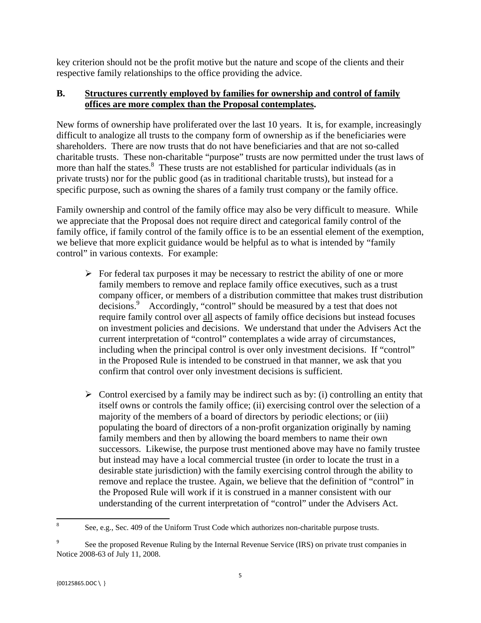key criterion should not be the profit motive but the nature and scope of the clients and their respective family relationships to the office providing the advice.

## **B. Structures currently employed by families for ownership and control of family offices are more complex than the Proposal contemplates.**

New forms of ownership have proliferated over the last 10 years. It is, for example, increasingly difficult to analogize all trusts to the company form of ownership as if the beneficiaries were shareholders. There are now trusts that do not have beneficiaries and that are not so-called charitable trusts. These non-charitable "purpose" trusts are now permitted under the trust laws of more than half the states.<sup>8</sup> These trusts are not established for particular individuals (as in private trusts) nor for the public good (as in traditional charitable trusts), but instead for a specific purpose, such as owning the shares of a family trust company or the family office.

Family ownership and control of the family office may also be very difficult to measure. While we appreciate that the Proposal does not require direct and categorical family control of the family office, if family control of the family office is to be an essential element of the exemption, we believe that more explicit guidance would be helpful as to what is intended by "family control" in various contexts. For example:

- $\triangleright$  For federal tax purposes it may be necessary to restrict the ability of one or more family members to remove and replace family office executives, such as a trust company officer, or members of a distribution committee that makes trust distribution decisions.9 Accordingly, "control" should be measured by a test that does not require family control over all aspects of family office decisions but instead focuses on investment policies and decisions. We understand that under the Advisers Act the current interpretation of "control" contemplates a wide array of circumstances, including when the principal control is over only investment decisions. If "control" in the Proposed Rule is intended to be construed in that manner, we ask that you confirm that control over only investment decisions is sufficient.
- $\triangleright$  Control exercised by a family may be indirect such as by: (i) controlling an entity that itself owns or controls the family office; (ii) exercising control over the selection of a majority of the members of a board of directors by periodic elections; or (iii) populating the board of directors of a non-profit organization originally by naming family members and then by allowing the board members to name their own successors. Likewise, the purpose trust mentioned above may have no family trustee but instead may have a local commercial trustee (in order to locate the trust in a desirable state jurisdiction) with the family exercising control through the ability to remove and replace the trustee. Again, we believe that the definition of "control" in the Proposed Rule will work if it is construed in a manner consistent with our understanding of the current interpretation of "control" under the Advisers Act.

<sup>8</sup> See, e.g., Sec. 409 of the Uniform Trust Code which authorizes non-charitable purpose trusts.

See the proposed Revenue Ruling by the Internal Revenue Service (IRS) on private trust companies in Notice 2008-63 of July 11, 2008.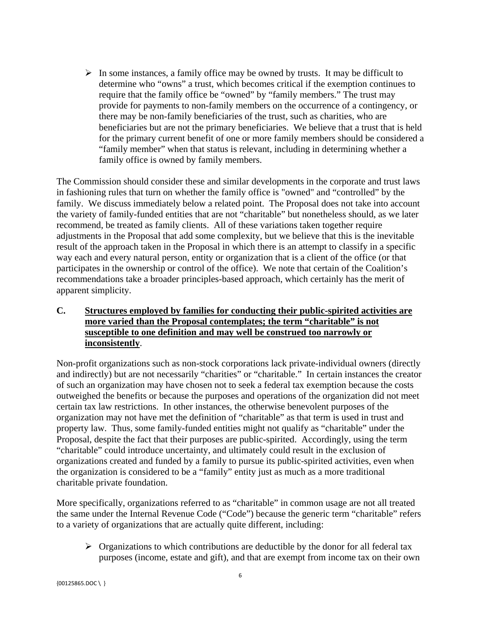$\triangleright$  In some instances, a family office may be owned by trusts. It may be difficult to determine who "owns" a trust, which becomes critical if the exemption continues to require that the family office be "owned" by "family members." The trust may provide for payments to non-family members on the occurrence of a contingency, or there may be non-family beneficiaries of the trust, such as charities, who are beneficiaries but are not the primary beneficiaries. We believe that a trust that is held for the primary current benefit of one or more family members should be considered a "family member" when that status is relevant, including in determining whether a family office is owned by family members.

The Commission should consider these and similar developments in the corporate and trust laws in fashioning rules that turn on whether the family office is "owned" and "controlled" by the family. We discuss immediately below a related point. The Proposal does not take into account the variety of family-funded entities that are not "charitable" but nonetheless should, as we later recommend, be treated as family clients. All of these variations taken together require adjustments in the Proposal that add some complexity, but we believe that this is the inevitable result of the approach taken in the Proposal in which there is an attempt to classify in a specific way each and every natural person, entity or organization that is a client of the office (or that participates in the ownership or control of the office). We note that certain of the Coalition's recommendations take a broader principles-based approach, which certainly has the merit of apparent simplicity.

## **C. Structures employed by families for conducting their public-spirited activities are more varied than the Proposal contemplates; the term "charitable" is not susceptible to one definition and may well be construed too narrowly or inconsistently**.

Non-profit organizations such as non-stock corporations lack private-individual owners (directly and indirectly) but are not necessarily "charities" or "charitable." In certain instances the creator of such an organization may have chosen not to seek a federal tax exemption because the costs outweighed the benefits or because the purposes and operations of the organization did not meet certain tax law restrictions. In other instances, the otherwise benevolent purposes of the organization may not have met the definition of "charitable" as that term is used in trust and property law. Thus, some family-funded entities might not qualify as "charitable" under the Proposal, despite the fact that their purposes are public-spirited. Accordingly, using the term "charitable" could introduce uncertainty, and ultimately could result in the exclusion of organizations created and funded by a family to pursue its public-spirited activities, even when the organization is considered to be a "family" entity just as much as a more traditional charitable private foundation.

More specifically, organizations referred to as "charitable" in common usage are not all treated the same under the Internal Revenue Code ("Code") because the generic term "charitable" refers to a variety of organizations that are actually quite different, including:

 $\triangleright$  Organizations to which contributions are deductible by the donor for all federal tax purposes (income, estate and gift), and that are exempt from income tax on their own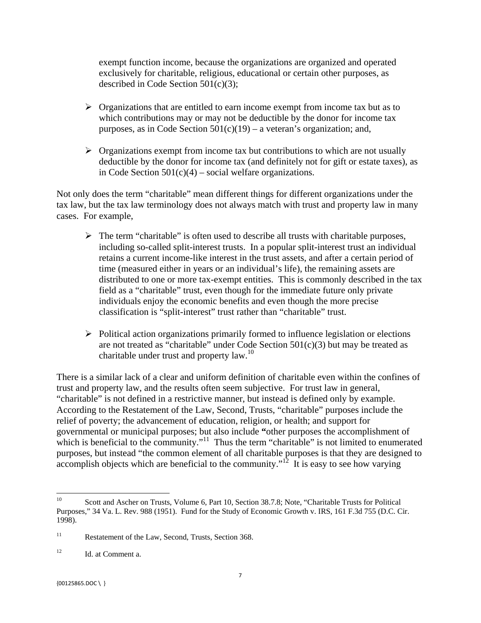exempt function income, because the organizations are organized and operated exclusively for charitable, religious, educational or certain other purposes, as described in Code Section 501(c)(3);

- $\triangleright$  Organizations that are entitled to earn income exempt from income tax but as to which contributions may or may not be deductible by the donor for income tax purposes, as in Code Section  $501(c)(19)$  – a veteran's organization; and,
- $\triangleright$  Organizations exempt from income tax but contributions to which are not usually deductible by the donor for income tax (and definitely not for gift or estate taxes), as in Code Section  $501(c)(4)$  – social welfare organizations.

Not only does the term "charitable" mean different things for different organizations under the tax law, but the tax law terminology does not always match with trust and property law in many cases. For example,

- $\triangleright$  The term "charitable" is often used to describe all trusts with charitable purposes, including so-called split-interest trusts. In a popular split-interest trust an individual retains a current income-like interest in the trust assets, and after a certain period of time (measured either in years or an individual's life), the remaining assets are distributed to one or more tax-exempt entities. This is commonly described in the tax field as a "charitable" trust, even though for the immediate future only private individuals enjoy the economic benefits and even though the more precise classification is "split-interest" trust rather than "charitable" trust.
- charitable under trust and property  $law.<sup>10</sup>$  $\triangleright$  Political action organizations primarily formed to influence legislation or elections are not treated as "charitable" under Code Section  $501(c)(3)$  but may be treated as

There is a similar lack of a clear and uniform definition of charitable even within the confines of trust and property law, and the results often seem subjective. For trust law in general, "charitable" is not defined in a restrictive manner, but instead is defined only by example. According to the Restatement of the Law, Second, Trusts, "charitable" purposes include the relief of poverty; the advancement of education, religion, or health; and support for governmental or municipal purposes; but also include **"**other purposes the accomplishment of which is beneficial to the community."<sup>11</sup> Thus the term "charitable" is not limited to enumerated purposes, but instead "the common element of all charitable purposes is that they are designed to accomplish objects which are beneficial to the community."<sup>12</sup> It is easy to see how varying

<sup>10</sup>  Purposes," 34 Va. L. Rev. 988 (1951). Fund for the Study of Economic Growth v. IRS, 161 F.3d 755 (D.C. Cir. 10 Scott and Ascher on Trusts, Volume 6, Part 10, Section 38.7.8; Note, "Charitable Trusts for Political 1998).

 $11$ Restatement of the Law, Second, Trusts, Section 368.

<sup>12</sup> Id. at Comment a.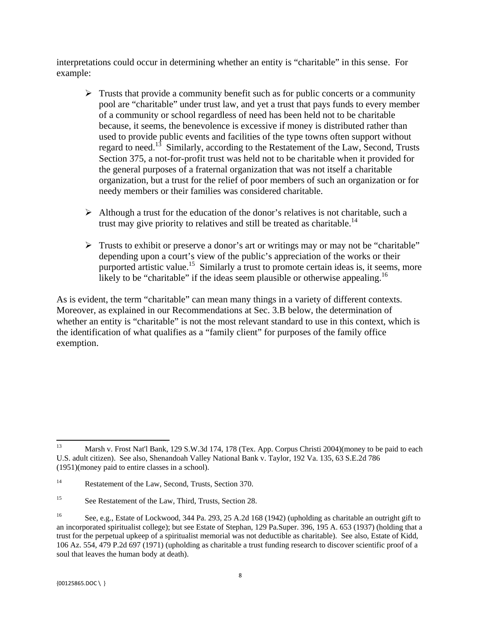interpretations could occur in determining whether an entity is "charitable" in this sense. For example:

- $\triangleright$  Trusts that provide a community benefit such as for public concerts or a community pool are "charitable" under trust law, and yet a trust that pays funds to every member of a community or school regardless of need has been held not to be charitable because, it seems, the benevolence is excessive if money is distributed rather than used to provide public events and facilities of the type towns often support without regard to need.13 Similarly, according to the Restatement of the Law, Second, Trusts Section 375, a not-for-profit trust was held not to be charitable when it provided for the general purposes of a fraternal organization that was not itself a charitable organization, but a trust for the relief of poor members of such an organization or for needy members or their families was considered charitable.
- trust may give priority to relatives and still be treated as charitable.<sup>14</sup>  $\triangleright$  Although a trust for the education of the donor's relatives is not charitable, such a
- $\triangleright$  Trusts to exhibit or preserve a donor's art or writings may or may not be "charitable" depending upon a court's view of the public's appreciation of the works or their purported artistic value.<sup>15</sup> Similarly a trust to promote certain ideas is, it seems, more likely to be "charitable" if the ideas seem plausible or otherwise appealing.<sup>16</sup>

As is evident, the term "charitable" can mean many things in a variety of different contexts. Moreover, as explained in our Recommendations at Sec. 3.B below, the determination of whether an entity is "charitable" is not the most relevant standard to use in this context, which is the identification of what qualifies as a "family client" for purposes of the family office exemption.

 13 Marsh v. Frost Nat'l Bank, 129 S.W.3d 174, 178 (Tex. App. Corpus Christi 2004)(money to be paid to each U.S. adult citizen). See also, Shenandoah Valley National Bank v. Taylor, 192 Va. 135, 63 S.E.2d 786 (1951)(money paid to entire classes in a school).

 $14$ Restatement of the Law, Second, Trusts, Section 370.

<sup>15</sup> See Restatement of the Law, Third, Trusts, Section 28.

<sup>16</sup>  an incorporated spiritualist college); but see Estate of Stephan, 129 Pa.Super. 396, 195 A. 653 (1937) (holding that a See, e.g., Estate of Lockwood, 344 Pa. 293, 25 A.2d 168 (1942) (upholding as charitable an outright gift to trust for the perpetual upkeep of a spiritualist memorial was not deductible as charitable). See also, Estate of Kidd, 106 Az. 554, 479 P.2d 697 (1971) (upholding as charitable a trust funding research to discover scientific proof of a soul that leaves the human body at death).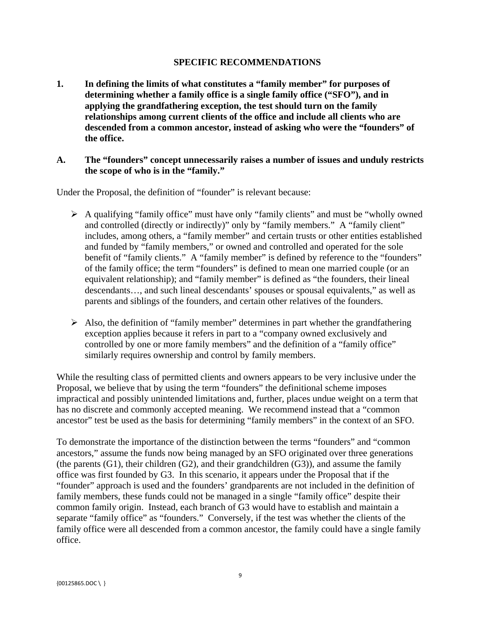#### **SPECIFIC RECOMMENDATIONS**

**1. In defining the limits of what constitutes a "family member" for purposes of determining whether a family office is a single family office ("SFO"), and in applying the grandfathering exception, the test should turn on the family relationships among current clients of the office and include all clients who are descended from a common ancestor, instead of asking who were the "founders" of the office.** 

#### **A. The "founders" concept unnecessarily raises a number of issues and unduly restricts the scope of who is in the "family."**

Under the Proposal, the definition of "founder" is relevant because:

- $\triangleright$  A qualifying "family office" must have only "family clients" and must be "wholly owned and controlled (directly or indirectly)" only by "family members." A "family client" includes, among others, a "family member" and certain trusts or other entities established and funded by "family members," or owned and controlled and operated for the sole benefit of "family clients." A "family member" is defined by reference to the "founders" of the family office; the term "founders" is defined to mean one married couple (or an equivalent relationship); and "family member" is defined as "the founders, their lineal descendants…, and such lineal descendants' spouses or spousal equivalents," as well as parents and siblings of the founders, and certain other relatives of the founders.
- $\triangleright$  Also, the definition of "family member" determines in part whether the grandfathering exception applies because it refers in part to a "company owned exclusively and controlled by one or more family members" and the definition of a "family office" similarly requires ownership and control by family members.

While the resulting class of permitted clients and owners appears to be very inclusive under the Proposal, we believe that by using the term "founders" the definitional scheme imposes impractical and possibly unintended limitations and, further, places undue weight on a term that has no discrete and commonly accepted meaning. We recommend instead that a "common ancestor" test be used as the basis for determining "family members" in the context of an SFO.

To demonstrate the importance of the distinction between the terms "founders" and "common ancestors," assume the funds now being managed by an SFO originated over three generations (the parents  $(G1)$ , their children  $(G2)$ , and their grandchildren  $(G3)$ ), and assume the family office was first founded by G3. In this scenario, it appears under the Proposal that if the "founder" approach is used and the founders' grandparents are not included in the definition of family members, these funds could not be managed in a single "family office" despite their common family origin. Instead, each branch of G3 would have to establish and maintain a separate "family office" as "founders." Conversely, if the test was whether the clients of the family office were all descended from a common ancestor, the family could have a single family office.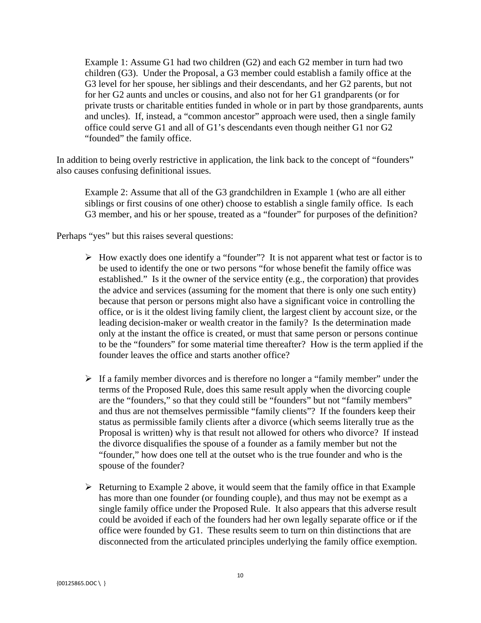Example 1: Assume G1 had two children (G2) and each G2 member in turn had two children (G3). Under the Proposal, a G3 member could establish a family office at the G3 level for her spouse, her siblings and their descendants, and her G2 parents, but not for her G2 aunts and uncles or cousins, and also not for her G1 grandparents (or for private trusts or charitable entities funded in whole or in part by those grandparents, aunts and uncles). If, instead, a "common ancestor" approach were used, then a single family office could serve G1 and all of G1's descendants even though neither G1 nor G2 "founded" the family office.

In addition to being overly restrictive in application, the link back to the concept of "founders" also causes confusing definitional issues.

G3 member, and his or her spouse, treated as a "founder" for purposes of the definition?<br>Perhaps "yes" but this raises several questions: Example 2: Assume that all of the G3 grandchildren in Example 1 (who are all either siblings or first cousins of one other) choose to establish a single family office. Is each

- $\triangleright$  How exactly does one identify a "founder"? It is not apparent what test or factor is to be used to identify the one or two persons "for whose benefit the family office was established." Is it the owner of the service entity (e.g., the corporation) that provides the advice and services (assuming for the moment that there is only one such entity) because that person or persons might also have a significant voice in controlling the office, or is it the oldest living family client, the largest client by account size, or the leading decision-maker or wealth creator in the family? Is the determination made only at the instant the office is created, or must that same person or persons continue to be the "founders" for some material time thereafter? How is the term applied if the founder leaves the office and starts another office?
- spouse of the founder?  $\triangleright$  If a family member divorces and is therefore no longer a "family member" under the terms of the Proposed Rule, does this same result apply when the divorcing couple are the "founders," so that they could still be "founders" but not "family members" and thus are not themselves permissible "family clients"? If the founders keep their status as permissible family clients after a divorce (which seems literally true as the Proposal is written) why is that result not allowed for others who divorce? If instead the divorce disqualifies the spouse of a founder as a family member but not the "founder," how does one tell at the outset who is the true founder and who is the
- $\triangleright$  Returning to Example 2 above, it would seem that the family office in that Example has more than one founder (or founding couple), and thus may not be exempt as a single family office under the Proposed Rule. It also appears that this adverse result could be avoided if each of the founders had her own legally separate office or if the office were founded by G1. These results seem to turn on thin distinctions that are disconnected from the articulated principles underlying the family office exemption.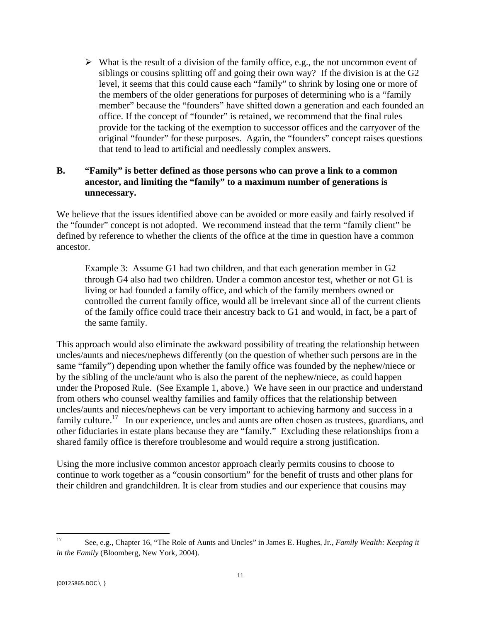$\triangleright$  What is the result of a division of the family office, e.g., the not uncommon event of siblings or cousins splitting off and going their own way? If the division is at the G2 level, it seems that this could cause each "family" to shrink by losing one or more of the members of the older generations for purposes of determining who is a "family member" because the "founders" have shifted down a generation and each founded an office. If the concept of "founder" is retained, we recommend that the final rules provide for the tacking of the exemption to successor offices and the carryover of the original "founder" for these purposes. Again, the "founders" concept raises questions that tend to lead to artificial and needlessly complex answers.

## **B. "Family" is better defined as those persons who can prove a link to a common ancestor, and limiting the "family" to a maximum number of generations is unnecessary.**

We believe that the issues identified above can be avoided or more easily and fairly resolved if the "founder" concept is not adopted. We recommend instead that the term "family client" be defined by reference to whether the clients of the office at the time in question have a common ancestor.

Example 3: Assume G1 had two children, and that each generation member in G2 through G4 also had two children. Under a common ancestor test, whether or not G1 is living or had founded a family office, and which of the family members owned or controlled the current family office, would all be irrelevant since all of the current clients of the family office could trace their ancestry back to G1 and would, in fact, be a part of the same family.

This approach would also eliminate the awkward possibility of treating the relationship between uncles/aunts and nieces/nephews differently (on the question of whether such persons are in the same "family") depending upon whether the family office was founded by the nephew/niece or by the sibling of the uncle/aunt who is also the parent of the nephew/niece, as could happen under the Proposed Rule. (See Example 1, above.) We have seen in our practice and understand from others who counsel wealthy families and family offices that the relationship between uncles/aunts and nieces/nephews can be very important to achieving harmony and success in a family culture.<sup>17</sup> In our experience, uncles and aunts are often chosen as trustees, guardians, and other fiduciaries in estate plans because they are "family." Excluding these relationships from a shared family office is therefore troublesome and would require a strong justification.

Using the more inclusive common ancestor approach clearly permits cousins to choose to continue to work together as a "cousin consortium" for the benefit of trusts and other plans for their children and grandchildren. It is clear from studies and our experience that cousins may

 17 See, e.g., Chapter 16, "The Role of Aunts and Uncles" in James E. Hughes, Jr., *Family Wealth: Keeping it in the Family* (Bloomberg, New York, 2004).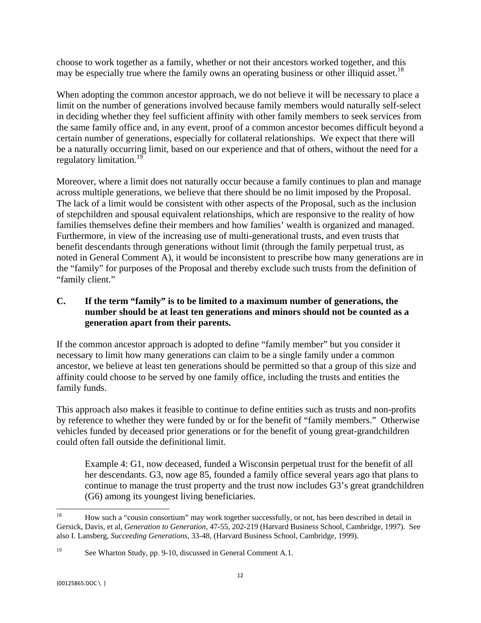may be especially true where the family owns an operating business or other illiquid asset.<sup>18</sup> choose to work together as a family, whether or not their ancestors worked together, and this

regulatory limitation.<sup>19</sup> When adopting the common ancestor approach, we do not believe it will be necessary to place a limit on the number of generations involved because family members would naturally self-select in deciding whether they feel sufficient affinity with other family members to seek services from the same family office and, in any event, proof of a common ancestor becomes difficult beyond a certain number of generations, especially for collateral relationships. We expect that there will be a naturally occurring limit, based on our experience and that of others, without the need for a

Moreover, where a limit does not naturally occur because a family continues to plan and manage across multiple generations, we believe that there should be no limit imposed by the Proposal. The lack of a limit would be consistent with other aspects of the Proposal, such as the inclusion of stepchildren and spousal equivalent relationships, which are responsive to the reality of how families themselves define their members and how families' wealth is organized and managed. Furthermore, in view of the increasing use of multi-generational trusts, and even trusts that benefit descendants through generations without limit (through the family perpetual trust, as noted in General Comment A), it would be inconsistent to prescribe how many generations are in the "family" for purposes of the Proposal and thereby exclude such trusts from the definition of "family client."

## **C. If the term "family" is to be limited to a maximum number of generations, the number should be at least ten generations and minors should not be counted as a generation apart from their parents.**

If the common ancestor approach is adopted to define "family member" but you consider it necessary to limit how many generations can claim to be a single family under a common ancestor, we believe at least ten generations should be permitted so that a group of this size and affinity could choose to be served by one family office, including the trusts and entities the family funds.

This approach also makes it feasible to continue to define entities such as trusts and non-profits by reference to whether they were funded by or for the benefit of "family members." Otherwise vehicles funded by deceased prior generations or for the benefit of young great-grandchildren could often fall outside the definitional limit.

Example 4: G1, now deceased, funded a Wisconsin perpetual trust for the benefit of all her descendants. G3, now age 85, founded a family office several years ago that plans to continue to manage the trust property and the trust now includes G3's great grandchildren (G6) among its youngest living beneficiaries.

 18 18 How such a "cousin consortium" may work together successfully, or not, has been described in detail in Gersick, Davis, et al, *Generation to Generation*, 47-55, 202-219 (Harvard Business School, Cambridge, 1997). See also I. Lansberg, *Succeeding Generations*, 33-48, (Harvard Business School, Cambridge, 1999).

 $19$ See Wharton Study, pp. 9-10, discussed in General Comment A.1.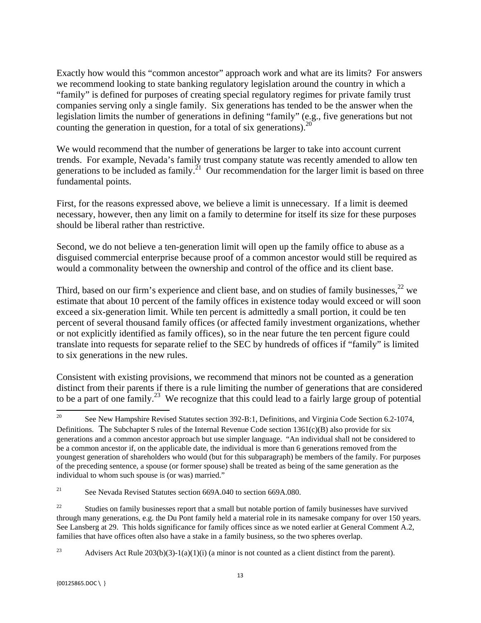counting the generation in question, for a total of six generations). $20$ Exactly how would this "common ancestor" approach work and what are its limits? For answers we recommend looking to state banking regulatory legislation around the country in which a "family" is defined for purposes of creating special regulatory regimes for private family trust companies serving only a single family. Six generations has tended to be the answer when the legislation limits the number of generations in defining "family" (e.g., five generations but not

We would recommend that the number of generations be larger to take into account current trends. For example, Nevada's family trust company statute was recently amended to allow ten generations to be included as family.<sup>21</sup> Our recommendation for the larger limit is based on three fundamental points.

First, for the reasons expressed above, we believe a limit is unnecessary. If a limit is deemed necessary, however, then any limit on a family to determine for itself its size for these purposes should be liberal rather than restrictive.

Second, we do not believe a ten-generation limit will open up the family office to abuse as a disguised commercial enterprise because proof of a common ancestor would still be required as would a commonality between the ownership and control of the office and its client base.

Third, based on our firm's experience and client base, and on studies of family businesses,<sup>22</sup> we estimate that about 10 percent of the family offices in existence today would exceed or will soon exceed a six-generation limit. While ten percent is admittedly a small portion, it could be ten percent of several thousand family offices (or affected family investment organizations, whether or not explicitly identified as family offices), so in the near future the ten percent figure could translate into requests for separate relief to the SEC by hundreds of offices if "family" is limited to six generations in the new rules.

Consistent with existing provisions, we recommend that minors not be counted as a generation distinct from their parents if there is a rule limiting the number of generations that are considered to be a part of one family.<sup>23</sup> We recognize that this could lead to a fairly large group of potential

 20 generations and a common ancestor approach but use simpler language. "An individual shall not be considered to 20 See New Hampshire Revised Statutes section 392-B:1, Definitions, and Virginia Code Section 6.2-1074, Definitions. The Subchapter S rules of the Internal Revenue Code section  $1361(c)(B)$  also provide for six be a common ancestor if, on the applicable date, the individual is more than 6 generations removed from the youngest generation of shareholders who would (but for this subparagraph) be members of the family. For purposes of the preceding sentence, a spouse (or former spouse) shall be treated as being of the same generation as the individual to whom such spouse is (or was) married."

 $21\,$ See Nevada Revised Statutes section 669A.040 to section 669A.080.

 $22$ 22 Studies on family businesses report that a small but notable portion of family businesses have survived through many generations, e.g. the Du Pont family held a material role in its namesake company for over 150 years. See Lansberg at 29. This holds significance for family offices since as we noted earlier at General Comment A.2, families that have offices often also have a stake in a family business, so the two spheres overlap.

<sup>23</sup> Advisers Act Rule  $203(b)(3)-1(a)(1)(i)$  (a minor is not counted as a client distinct from the parent).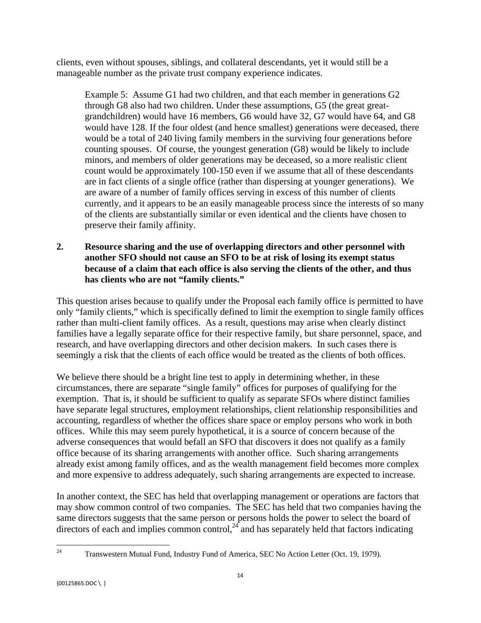clients, even without spouses, siblings, and collateral descendants, yet it would still be a manageable number as the private trust company experience indicates.

Example 5: Assume G1 had two children, and that each member in generations G2 through G8 also had two children. Under these assumptions, G5 (the great greatgrandchildren) would have 16 members, G6 would have 32, G7 would have 64, and G8 would have 128. If the four oldest (and hence smallest) generations were deceased, there would be a total of 240 living family members in the surviving four generations before counting spouses. Of course, the youngest generation (G8) would be likely to include minors, and members of older generations may be deceased, so a more realistic client count would be approximately 100-150 even if we assume that all of these descendants are in fact clients of a single office (rather than dispersing at younger generations). We are aware of a number of family offices serving in excess of this number of clients currently, and it appears to be an easily manageable process since the interests of so many of the clients are substantially similar or even identical and the clients have chosen to preserve their family affinity.

## **2. Resource sharing and the use of overlapping directors and other personnel with another SFO should not cause an SFO to be at risk of losing its exempt status because of a claim that each office is also serving the clients of the other, and thus has clients who are not "family clients."**

This question arises because to qualify under the Proposal each family office is permitted to have only "family clients," which is specifically defined to limit the exemption to single family offices rather than multi-client family offices. As a result, questions may arise when clearly distinct families have a legally separate office for their respective family, but share personnel, space, and research, and have overlapping directors and other decision makers. In such cases there is seemingly a risk that the clients of each office would be treated as the clients of both offices.

We believe there should be a bright line test to apply in determining whether, in these circumstances, there are separate "single family" offices for purposes of qualifying for the exemption. That is, it should be sufficient to qualify as separate SFOs where distinct families have separate legal structures, employment relationships, client relationship responsibilities and accounting, regardless of whether the offices share space or employ persons who work in both offices. While this may seem purely hypothetical, it is a source of concern because of the adverse consequences that would befall an SFO that discovers it does not qualify as a family office because of its sharing arrangements with another office. Such sharing arrangements already exist among family offices, and as the wealth management field becomes more complex and more expensive to address adequately, such sharing arrangements are expected to increase.

In another context, the SEC has held that overlapping management or operations are factors that may show common control of two companies. The SEC has held that two companies having the same directors suggests that the same person or persons holds the power to select the board of directors of each and implies common control,  $24$  and has separately held that factors indicating

 24 Transwestern Mutual Fund, Industry Fund of America, SEC No Action Letter (Oct. 19, 1979).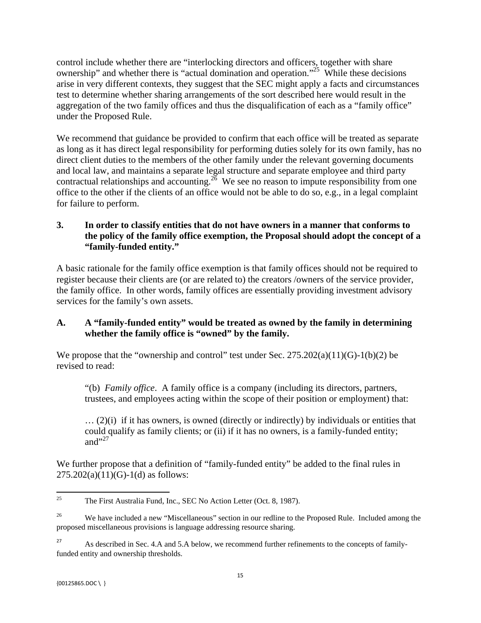control include whether there are "interlocking directors and officers, together with share ownership" and whether there is "actual domination and operation."<sup>25</sup> While these decisions arise in very different contexts, they suggest that the SEC might apply a facts and circumstances test to determine whether sharing arrangements of the sort described here would result in the aggregation of the two family offices and thus the disqualification of each as a "family office" under the Proposed Rule.

We recommend that guidance be provided to confirm that each office will be treated as separate as long as it has direct legal responsibility for performing duties solely for its own family, has no direct client duties to the members of the other family under the relevant governing documents and local law, and maintains a separate legal structure and separate employee and third party contractual relationships and accounting.<sup>26</sup> We see no reason to impute responsibility from one office to the other if the clients of an office would not be able to do so, e.g., in a legal complaint for failure to perform.

## **3. In order to classify entities that do not have owners in a manner that conforms to the policy of the family office exemption, the Proposal should adopt the concept of a "family-funded entity."**

A basic rationale for the family office exemption is that family offices should not be required to register because their clients are (or are related to) the creators /owners of the service provider, the family office. In other words, family offices are essentially providing investment advisory services for the family's own assets.

## **A. A "family-funded entity" would be treated as owned by the family in determining whether the family office is "owned" by the family.**

We propose that the "ownership and control" test under Sec.  $275.202(a)(11)(G)-1(b)(2)$  be revised to read:

"(b) *Family office*. A family office is a company (including its directors, partners, trustees, and employees acting within the scope of their position or employment) that:

and $"^{27}$  $\ldots$  (2)(i) if it has owners, is owned (directly or indirectly) by individuals or entities that could qualify as family clients; or (ii) if it has no owners, is a family-funded entity;

We further propose that a definition of "family-funded entity" be added to the final rules in  $275.202(a)(11)(G)-1(d)$  as follows:

 <sup>25</sup> The First Australia Fund, Inc., SEC No Action Letter (Oct. 8, 1987).

<sup>&</sup>lt;sup>26</sup> We have included a new "Miscellaneous" section in our redline to the Proposed Rule. Included among the proposed miscellaneous provisions is language addressing resource sharing.

<sup>&</sup>lt;sup>27</sup> As described in Sec. 4.A and 5.A below, we recommend further refinements to the concepts of familyfunded entity and ownership thresholds.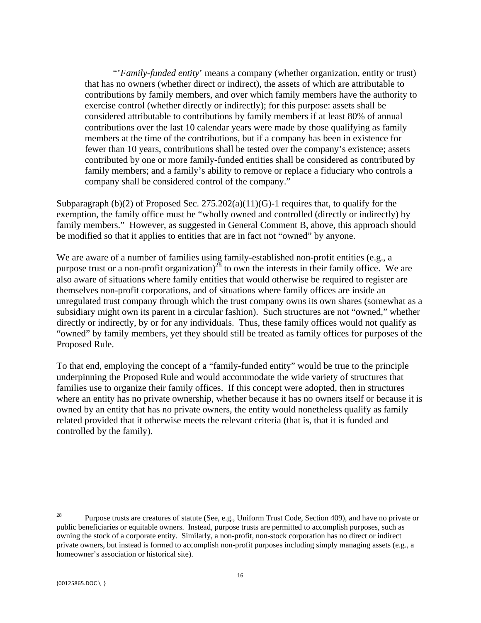"'*Family-funded entity*' means a company (whether organization, entity or trust) that has no owners (whether direct or indirect), the assets of which are attributable to contributions by family members, and over which family members have the authority to exercise control (whether directly or indirectly); for this purpose: assets shall be considered attributable to contributions by family members if at least 80% of annual contributions over the last 10 calendar years were made by those qualifying as family members at the time of the contributions, but if a company has been in existence for fewer than 10 years, contributions shall be tested over the company's existence; assets contributed by one or more family-funded entities shall be considered as contributed by family members; and a family's ability to remove or replace a fiduciary who controls a company shall be considered control of the company."

Subparagraph (b)(2) of Proposed Sec.  $275.202(a)(11)(G)$ -1 requires that, to qualify for the exemption, the family office must be "wholly owned and controlled (directly or indirectly) by family members." However, as suggested in General Comment B, above, this approach should be modified so that it applies to entities that are in fact not "owned" by anyone.

We are aware of a number of families using family-established non-profit entities (e.g., a purpose trust or a non-profit organization)<sup>28</sup> to own the interests in their family office. We are also aware of situations where family entities that would otherwise be required to register are themselves non-profit corporations, and of situations where family offices are inside an unregulated trust company through which the trust company owns its own shares (somewhat as a subsidiary might own its parent in a circular fashion). Such structures are not "owned," whether directly or indirectly, by or for any individuals. Thus, these family offices would not qualify as "owned" by family members, yet they should still be treated as family offices for purposes of the Proposed Rule.

To that end, employing the concept of a "family-funded entity" would be true to the principle underpinning the Proposed Rule and would accommodate the wide variety of structures that families use to organize their family offices. If this concept were adopted, then in structures where an entity has no private ownership, whether because it has no owners itself or because it is owned by an entity that has no private owners, the entity would nonetheless qualify as family related provided that it otherwise meets the relevant criteria (that is, that it is funded and controlled by the family).

 28 Purpose trusts are creatures of statute (See, e.g., Uniform Trust Code, Section 409), and have no private or public beneficiaries or equitable owners. Instead, purpose trusts are permitted to accomplish purposes, such as owning the stock of a corporate entity. Similarly, a non-profit, non-stock corporation has no direct or indirect private owners, but instead is formed to accomplish non-profit purposes including simply managing assets (e.g., a homeowner's association or historical site).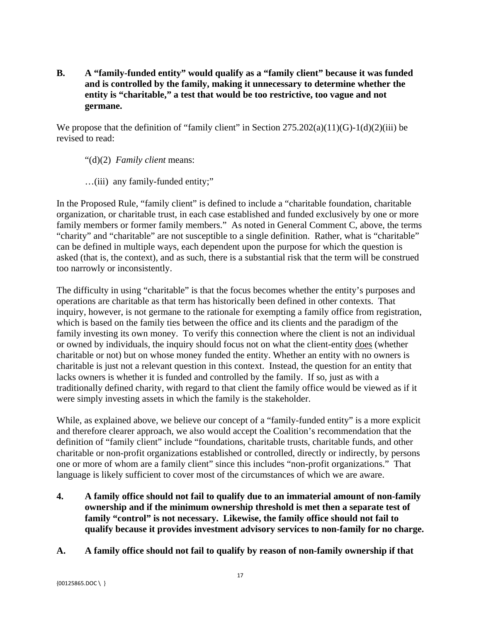**B. A "family-funded entity" would qualify as a "family client" because it was funded and is controlled by the family, making it unnecessary to determine whether the entity is "charitable," a test that would be too restrictive, too vague and not germane.** 

We propose that the definition of "family client" in Section  $275.202(a)(11)(G)-1(d)(2)(iii)$  be revised to read:

"(d)(2) *Family client* means:

…(iii) any family-funded entity;"

In the Proposed Rule, "family client" is defined to include a "charitable foundation, charitable organization, or charitable trust, in each case established and funded exclusively by one or more family members or former family members." As noted in General Comment C, above, the terms "charity" and "charitable" are not susceptible to a single definition. Rather, what is "charitable" can be defined in multiple ways, each dependent upon the purpose for which the question is asked (that is, the context), and as such, there is a substantial risk that the term will be construed too narrowly or inconsistently.

The difficulty in using "charitable" is that the focus becomes whether the entity's purposes and operations are charitable as that term has historically been defined in other contexts. That inquiry, however, is not germane to the rationale for exempting a family office from registration, which is based on the family ties between the office and its clients and the paradigm of the family investing its own money. To verify this connection where the client is not an individual or owned by individuals, the inquiry should focus not on what the client-entity does (whether charitable or not) but on whose money funded the entity. Whether an entity with no owners is charitable is just not a relevant question in this context. Instead, the question for an entity that lacks owners is whether it is funded and controlled by the family. If so, just as with a traditionally defined charity, with regard to that client the family office would be viewed as if it were simply investing assets in which the family is the stakeholder.

While, as explained above, we believe our concept of a "family-funded entity" is a more explicit and therefore clearer approach, we also would accept the Coalition's recommendation that the definition of "family client" include "foundations, charitable trusts, charitable funds, and other charitable or non-profit organizations established or controlled, directly or indirectly, by persons one or more of whom are a family client" since this includes "non-profit organizations." That language is likely sufficient to cover most of the circumstances of which we are aware.

- **4. A family office should not fail to qualify due to an immaterial amount of non-family ownership and if the minimum ownership threshold is met then a separate test of family "control" is not necessary. Likewise, the family office should not fail to qualify because it provides investment advisory services to non-family for no charge.**
- **A. A family office should not fail to qualify by reason of non-family ownership if that**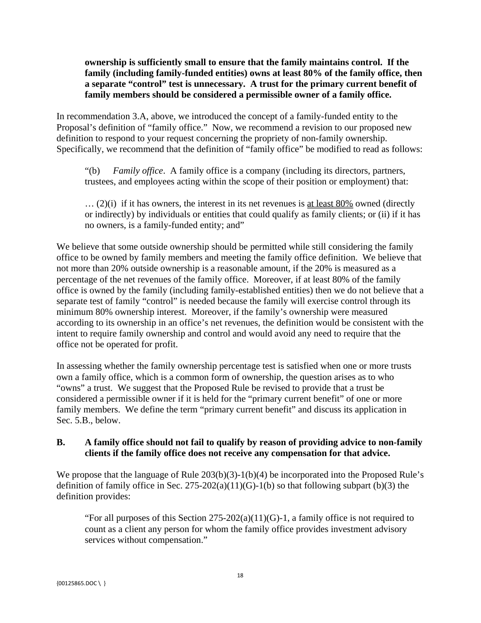**ownership is sufficiently small to ensure that the family maintains control. If the family (including family-funded entities) owns at least 80% of the family office, then a separate "control" test is unnecessary. A trust for the primary current benefit of family members should be considered a permissible owner of a family office.** 

In recommendation 3.A, above, we introduced the concept of a family-funded entity to the Proposal's definition of "family office." Now, we recommend a revision to our proposed new definition to respond to your request concerning the propriety of non-family ownership. Specifically, we recommend that the definition of "family office" be modified to read as follows:

"(b) *Family office*. A family office is a company (including its directors, partners, trustees, and employees acting within the scope of their position or employment) that:

 $\ldots$  (2)(i) if it has owners, the interest in its net revenues is at least 80% owned (directly or indirectly) by individuals or entities that could qualify as family clients; or (ii) if it has no owners, is a family-funded entity; and"

We believe that some outside ownership should be permitted while still considering the family office to be owned by family members and meeting the family office definition. We believe that not more than 20% outside ownership is a reasonable amount, if the 20% is measured as a percentage of the net revenues of the family office. Moreover, if at least 80% of the family office is owned by the family (including family-established entities) then we do not believe that a separate test of family "control" is needed because the family will exercise control through its minimum 80% ownership interest. Moreover, if the family's ownership were measured according to its ownership in an office's net revenues, the definition would be consistent with the intent to require family ownership and control and would avoid any need to require that the office not be operated for profit.

In assessing whether the family ownership percentage test is satisfied when one or more trusts own a family office, which is a common form of ownership, the question arises as to who "owns" a trust. We suggest that the Proposed Rule be revised to provide that a trust be considered a permissible owner if it is held for the "primary current benefit" of one or more family members. We define the term "primary current benefit" and discuss its application in Sec. 5.B., below.

## **B. A family office should not fail to qualify by reason of providing advice to non-family clients if the family office does not receive any compensation for that advice.**

We propose that the language of Rule 203(b)(3)-1(b)(4) be incorporated into the Proposed Rule's definition of family office in Sec. 275-202(a)(11)(G)-1(b) so that following subpart (b)(3) the definition provides:

"For all purposes of this Section 275-202(a)(11)(G)-1, a family office is not required to count as a client any person for whom the family office provides investment advisory services without compensation."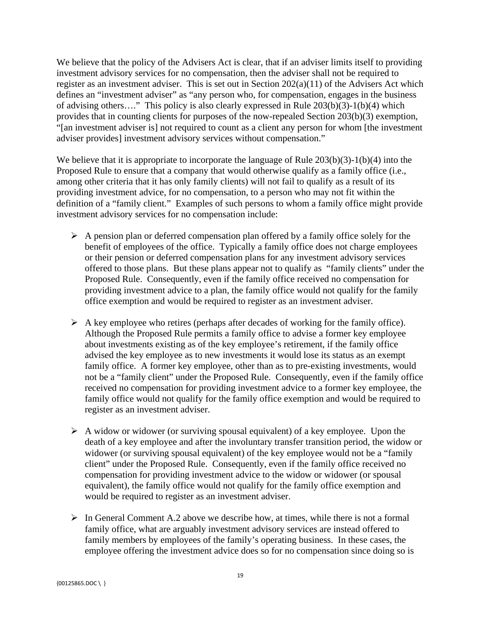We believe that the policy of the Advisers Act is clear, that if an adviser limits itself to providing investment advisory services for no compensation, then the adviser shall not be required to register as an investment adviser. This is set out in Section 202(a)(11) of the Advisers Act which defines an "investment adviser" as "any person who, for compensation, engages in the business of advising others…." This policy is also clearly expressed in Rule 203(b)(3)-1(b)(4) which provides that in counting clients for purposes of the now-repealed Section 203(b)(3) exemption, "[an investment adviser is] not required to count as a client any person for whom [the investment adviser provides] investment advisory services without compensation."

We believe that it is appropriate to incorporate the language of Rule  $203(b)(3)-1(b)(4)$  into the Proposed Rule to ensure that a company that would otherwise qualify as a family office (i.e., among other criteria that it has only family clients) will not fail to qualify as a result of its providing investment advice, for no compensation, to a person who may not fit within the definition of a "family client." Examples of such persons to whom a family office might provide investment advisory services for no compensation include:

- $\triangleright$  A pension plan or deferred compensation plan offered by a family office solely for the benefit of employees of the office. Typically a family office does not charge employees or their pension or deferred compensation plans for any investment advisory services offered to those plans. But these plans appear not to qualify as "family clients" under the Proposed Rule. Consequently, even if the family office received no compensation for providing investment advice to a plan, the family office would not qualify for the family office exemption and would be required to register as an investment adviser.
- $\triangleright$  A key employee who retires (perhaps after decades of working for the family office). Although the Proposed Rule permits a family office to advise a former key employee about investments existing as of the key employee's retirement, if the family office advised the key employee as to new investments it would lose its status as an exempt family office. A former key employee, other than as to pre-existing investments, would not be a "family client" under the Proposed Rule. Consequently, even if the family office received no compensation for providing investment advice to a former key employee, the family office would not qualify for the family office exemption and would be required to register as an investment adviser.
- $\triangleright$  A widow or widower (or surviving spousal equivalent) of a key employee. Upon the death of a key employee and after the involuntary transfer transition period, the widow or widower (or surviving spousal equivalent) of the key employee would not be a "family client" under the Proposed Rule. Consequently, even if the family office received no compensation for providing investment advice to the widow or widower (or spousal equivalent), the family office would not qualify for the family office exemption and would be required to register as an investment adviser.
- $\triangleright$  In General Comment A.2 above we describe how, at times, while there is not a formal family office, what are arguably investment advisory services are instead offered to family members by employees of the family's operating business. In these cases, the employee offering the investment advice does so for no compensation since doing so is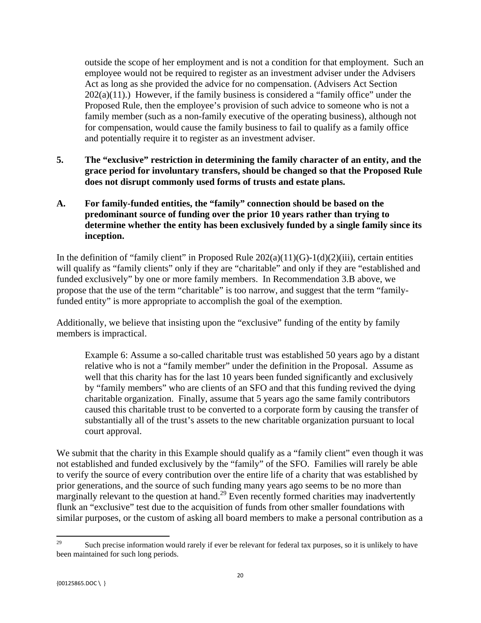outside the scope of her employment and is not a condition for that employment. Such an employee would not be required to register as an investment adviser under the Advisers Act as long as she provided the advice for no compensation. (Advisers Act Section  $202(a)(11)$ .) However, if the family business is considered a "family office" under the Proposed Rule, then the employee's provision of such advice to someone who is not a family member (such as a non-family executive of the operating business), although not for compensation, would cause the family business to fail to qualify as a family office and potentially require it to register as an investment adviser.

- **5. The "exclusive" restriction in determining the family character of an entity, and the grace period for involuntary transfers, should be changed so that the Proposed Rule does not disrupt commonly used forms of trusts and estate plans.**
- **A. For family-funded entities, the "family" connection should be based on the predominant source of funding over the prior 10 years rather than trying to determine whether the entity has been exclusively funded by a single family since its inception.**

In the definition of "family client" in Proposed Rule  $202(a)(11)(G)-1(d)(2)(iii)$ , certain entities will qualify as "family clients" only if they are "charitable" and only if they are "established and funded exclusively" by one or more family members. In Recommendation 3.B above, we propose that the use of the term "charitable" is too narrow, and suggest that the term "familyfunded entity" is more appropriate to accomplish the goal of the exemption.

Additionally, we believe that insisting upon the "exclusive" funding of the entity by family members is impractical.

Example 6: Assume a so-called charitable trust was established 50 years ago by a distant relative who is not a "family member" under the definition in the Proposal. Assume as well that this charity has for the last 10 years been funded significantly and exclusively by "family members" who are clients of an SFO and that this funding revived the dying charitable organization. Finally, assume that 5 years ago the same family contributors caused this charitable trust to be converted to a corporate form by causing the transfer of substantially all of the trust's assets to the new charitable organization pursuant to local court approval.

We submit that the charity in this Example should qualify as a "family client" even though it was not established and funded exclusively by the "family" of the SFO. Families will rarely be able to verify the source of every contribution over the entire life of a charity that was established by prior generations, and the source of such funding many years ago seems to be no more than marginally relevant to the question at hand.<sup>29</sup> Even recently formed charities may inadvertently flunk an "exclusive" test due to the acquisition of funds from other smaller foundations with similar purposes, or the custom of asking all board members to make a personal contribution as a

 29 Such precise information would rarely if ever be relevant for federal tax purposes, so it is unlikely to have been maintained for such long periods.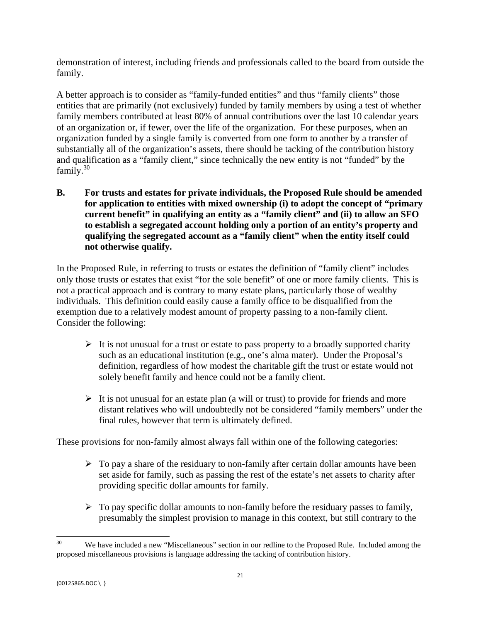demonstration of interest, including friends and professionals called to the board from outside the family.

 $family.<sup>30</sup>$ A better approach is to consider as "family-funded entities" and thus "family clients" those entities that are primarily (not exclusively) funded by family members by using a test of whether family members contributed at least 80% of annual contributions over the last 10 calendar years of an organization or, if fewer, over the life of the organization. For these purposes, when an organization funded by a single family is converted from one form to another by a transfer of substantially all of the organization's assets, there should be tacking of the contribution history and qualification as a "family client," since technically the new entity is not "funded" by the

**B. For trusts and estates for private individuals, the Proposed Rule should be amended for application to entities with mixed ownership (i) to adopt the concept of "primary current benefit" in qualifying an entity as a "family client" and (ii) to allow an SFO to establish a segregated account holding only a portion of an entity's property and qualifying the segregated account as a "family client" when the entity itself could not otherwise qualify.** 

In the Proposed Rule, in referring to trusts or estates the definition of "family client" includes only those trusts or estates that exist "for the sole benefit" of one or more family clients. This is not a practical approach and is contrary to many estate plans, particularly those of wealthy individuals. This definition could easily cause a family office to be disqualified from the exemption due to a relatively modest amount of property passing to a non-family client. Consider the following:

- $\triangleright$  It is not unusual for a trust or estate to pass property to a broadly supported charity such as an educational institution (e.g., one's alma mater). Under the Proposal's definition, regardless of how modest the charitable gift the trust or estate would not solely benefit family and hence could not be a family client.
- $\triangleright$  It is not unusual for an estate plan (a will or trust) to provide for friends and more distant relatives who will undoubtedly not be considered "family members" under the final rules, however that term is ultimately defined.

These provisions for non-family almost always fall within one of the following categories:

- $\triangleright$  To pay a share of the residuary to non-family after certain dollar amounts have been set aside for family, such as passing the rest of the estate's net assets to charity after providing specific dollar amounts for family.
- $\triangleright$  To pay specific dollar amounts to non-family before the residuary passes to family, presumably the simplest provision to manage in this context, but still contrary to the

 30 We have included a new "Miscellaneous" section in our redline to the Proposed Rule. Included among the proposed miscellaneous provisions is language addressing the tacking of contribution history.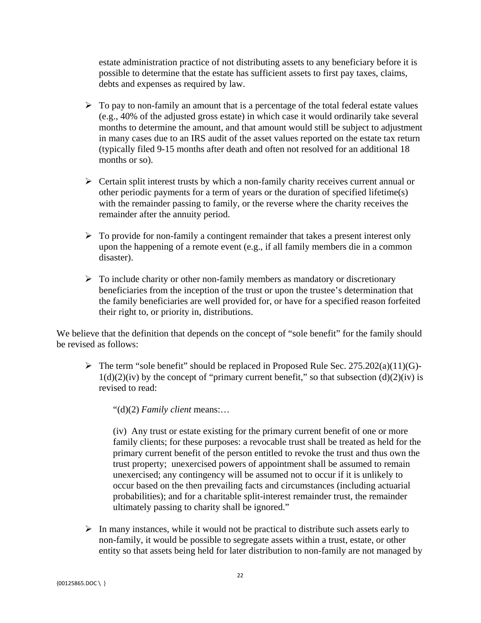estate administration practice of not distributing assets to any beneficiary before it is possible to determine that the estate has sufficient assets to first pay taxes, claims, debts and expenses as required by law.

- $\triangleright$  To pay to non-family an amount that is a percentage of the total federal estate values (e.g., 40% of the adjusted gross estate) in which case it would ordinarily take several months to determine the amount, and that amount would still be subject to adjustment in many cases due to an IRS audit of the asset values reported on the estate tax return (typically filed 9-15 months after death and often not resolved for an additional 18 months or so).
- $\triangleright$  Certain split interest trusts by which a non-family charity receives current annual or other periodic payments for a term of years or the duration of specified lifetime(s) with the remainder passing to family, or the reverse where the charity receives the remainder after the annuity period.
- $\triangleright$  To provide for non-family a contingent remainder that takes a present interest only upon the happening of a remote event (e.g., if all family members die in a common disaster).
- $\triangleright$  To include charity or other non-family members as mandatory or discretionary beneficiaries from the inception of the trust or upon the trustee's determination that the family beneficiaries are well provided for, or have for a specified reason forfeited their right to, or priority in, distributions.

We believe that the definition that depends on the concept of "sole benefit" for the family should be revised as follows:

 $\triangleright$  The term "sole benefit" should be replaced in Proposed Rule Sec. 275.202(a)(11)(G)- $1(d)(2)(iv)$  by the concept of "primary current benefit," so that subsection  $(d)(2)(iv)$  is revised to read:

"(d)(2) *Family client* means:…

(iv) Any trust or estate existing for the primary current benefit of one or more family clients; for these purposes: a revocable trust shall be treated as held for the primary current benefit of the person entitled to revoke the trust and thus own the trust property; unexercised powers of appointment shall be assumed to remain unexercised; any contingency will be assumed not to occur if it is unlikely to occur based on the then prevailing facts and circumstances (including actuarial probabilities); and for a charitable split-interest remainder trust, the remainder ultimately passing to charity shall be ignored."

 $\triangleright$  In many instances, while it would not be practical to distribute such assets early to non-family, it would be possible to segregate assets within a trust, estate, or other entity so that assets being held for later distribution to non-family are not managed by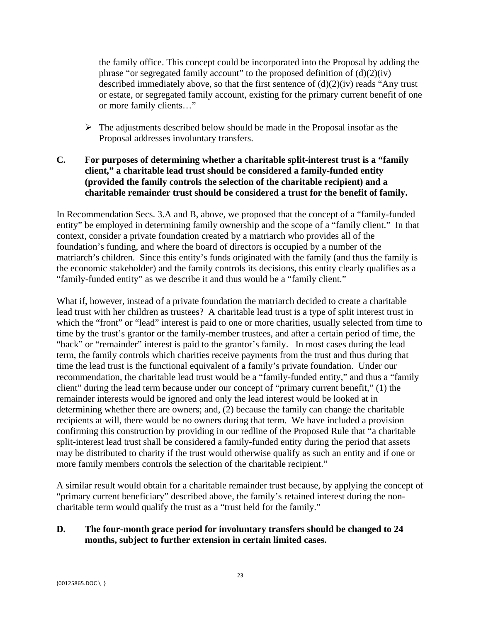the family office. This concept could be incorporated into the Proposal by adding the phrase "or segregated family account" to the proposed definition of  $(d)(2)(iv)$ described immediately above, so that the first sentence of  $(d)(2)(iv)$  reads "Any trust" or estate, or segregated family account, existing for the primary current benefit of one or more family clients…"

 $\triangleright$  The adjustments described below should be made in the Proposal insofar as the Proposal addresses involuntary transfers.

## **C. For purposes of determining whether a charitable split-interest trust is a "family client," a charitable lead trust should be considered a family-funded entity (provided the family controls the selection of the charitable recipient) and a charitable remainder trust should be considered a trust for the benefit of family.**

In Recommendation Secs. 3.A and B, above, we proposed that the concept of a "family-funded entity" be employed in determining family ownership and the scope of a "family client." In that context, consider a private foundation created by a matriarch who provides all of the foundation's funding, and where the board of directors is occupied by a number of the matriarch's children. Since this entity's funds originated with the family (and thus the family is the economic stakeholder) and the family controls its decisions, this entity clearly qualifies as a "family-funded entity" as we describe it and thus would be a "family client."

What if, however, instead of a private foundation the matriarch decided to create a charitable lead trust with her children as trustees? A charitable lead trust is a type of split interest trust in which the "front" or "lead" interest is paid to one or more charities, usually selected from time to time by the trust's grantor or the family-member trustees, and after a certain period of time, the "back" or "remainder" interest is paid to the grantor's family. In most cases during the lead term, the family controls which charities receive payments from the trust and thus during that time the lead trust is the functional equivalent of a family's private foundation. Under our recommendation, the charitable lead trust would be a "family-funded entity," and thus a "family client" during the lead term because under our concept of "primary current benefit," (1) the remainder interests would be ignored and only the lead interest would be looked at in determining whether there are owners; and, (2) because the family can change the charitable recipients at will, there would be no owners during that term. We have included a provision confirming this construction by providing in our redline of the Proposed Rule that "a charitable split-interest lead trust shall be considered a family-funded entity during the period that assets may be distributed to charity if the trust would otherwise qualify as such an entity and if one or more family members controls the selection of the charitable recipient."

A similar result would obtain for a charitable remainder trust because, by applying the concept of "primary current beneficiary" described above, the family's retained interest during the noncharitable term would qualify the trust as a "trust held for the family."

## **D. The four-month grace period for involuntary transfers should be changed to 24 months, subject to further extension in certain limited cases.**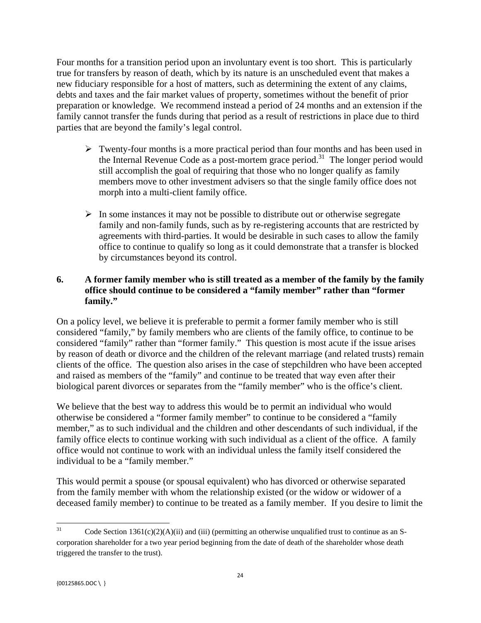Four months for a transition period upon an involuntary event is too short. This is particularly true for transfers by reason of death, which by its nature is an unscheduled event that makes a new fiduciary responsible for a host of matters, such as determining the extent of any claims, debts and taxes and the fair market values of property, sometimes without the benefit of prior preparation or knowledge. We recommend instead a period of 24 months and an extension if the family cannot transfer the funds during that period as a result of restrictions in place due to third parties that are beyond the family's legal control.

- $\triangleright$  Twenty-four months is a more practical period than four months and has been used in the Internal Revenue Code as a post-mortem grace period.<sup>31</sup> The longer period would still accomplish the goal of requiring that those who no longer qualify as family members move to other investment advisers so that the single family office does not morph into a multi-client family office.
- $\triangleright$  In some instances it may not be possible to distribute out or otherwise segregate family and non-family funds, such as by re-registering accounts that are restricted by agreements with third-parties. It would be desirable in such cases to allow the family office to continue to qualify so long as it could demonstrate that a transfer is blocked by circumstances beyond its control.

## **6. A former family member who is still treated as a member of the family by the family office should continue to be considered a "family member" rather than "former family."**

On a policy level, we believe it is preferable to permit a former family member who is still considered "family," by family members who are clients of the family office, to continue to be considered "family" rather than "former family." This question is most acute if the issue arises by reason of death or divorce and the children of the relevant marriage (and related trusts) remain clients of the office. The question also arises in the case of stepchildren who have been accepted and raised as members of the "family" and continue to be treated that way even after their biological parent divorces or separates from the "family member" who is the office's client.

We believe that the best way to address this would be to permit an individual who would otherwise be considered a "former family member" to continue to be considered a "family member," as to such individual and the children and other descendants of such individual, if the family office elects to continue working with such individual as a client of the office. A family office would not continue to work with an individual unless the family itself considered the individual to be a "family member."

This would permit a spouse (or spousal equivalent) who has divorced or otherwise separated from the family member with whom the relationship existed (or the widow or widower of a deceased family member) to continue to be treated as a family member. If you desire to limit the

 31 corporation shareholder for a two year period beginning from the date of death of the shareholder whose death Code Section  $1361(c)(2)(A)(ii)$  and (iii) (permitting an otherwise unqualified trust to continue as an Striggered the transfer to the trust).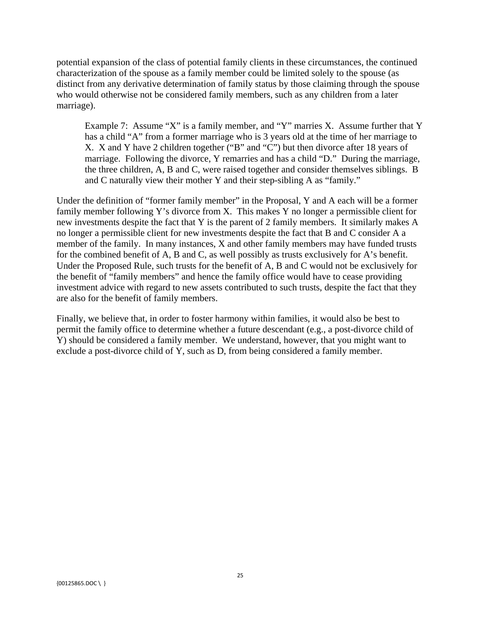potential expansion of the class of potential family clients in these circumstances, the continued characterization of the spouse as a family member could be limited solely to the spouse (as distinct from any derivative determination of family status by those claiming through the spouse who would otherwise not be considered family members, such as any children from a later marriage).

Example 7: Assume "X" is a family member, and "Y" marries X. Assume further that Y has a child "A" from a former marriage who is 3 years old at the time of her marriage to X. X and Y have 2 children together ("B" and "C") but then divorce after 18 years of marriage. Following the divorce, Y remarries and has a child "D." During the marriage, the three children, A, B and C, were raised together and consider themselves siblings. B and C naturally view their mother Y and their step-sibling A as "family."

Under the definition of "former family member" in the Proposal, Y and A each will be a former family member following Y's divorce from X. This makes Y no longer a permissible client for new investments despite the fact that Y is the parent of 2 family members. It similarly makes A no longer a permissible client for new investments despite the fact that B and C consider A a member of the family. In many instances, X and other family members may have funded trusts for the combined benefit of A, B and C, as well possibly as trusts exclusively for A's benefit. Under the Proposed Rule, such trusts for the benefit of A, B and C would not be exclusively for the benefit of "family members" and hence the family office would have to cease providing investment advice with regard to new assets contributed to such trusts, despite the fact that they are also for the benefit of family members.

Finally, we believe that, in order to foster harmony within families, it would also be best to permit the family office to determine whether a future descendant (e.g., a post-divorce child of Y) should be considered a family member. We understand, however, that you might want to exclude a post-divorce child of Y, such as D, from being considered a family member.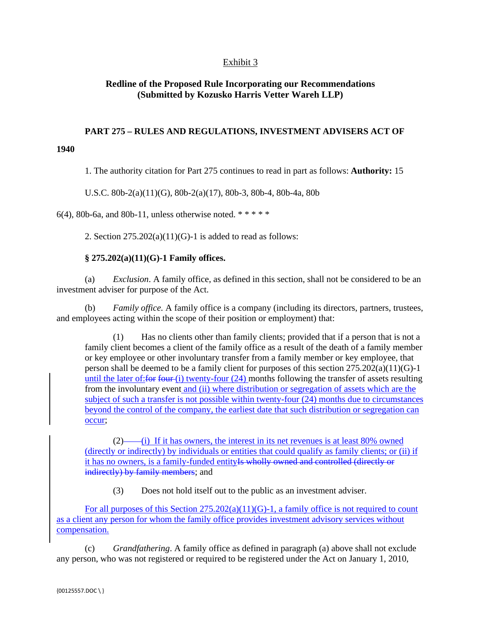## Exhibit 3

#### **Redline of the Proposed Rule Incorporating our Recommendations (Submitted by Kozusko Harris Vetter Wareh LLP)**

# **PART 275 – RULES AND REGULATIONS, INVESTMENT ADVISERS ACT OF**

1. The authority citation for Part 275 continues to read in part as follows: **Authority:** 15

U.S.C. 80b-2(a)(11)(G), 80b-2(a)(17), 80b-3, 80b-4, 80b-4a, 80b

6(4), 80b-6a, and 80b-11, unless otherwise noted.  $***$ 

2. Section  $275.202(a)(11)(G)-1$  is added to read as follows:

#### **§ 275.202(a)(11)(G)-1 Family offices.**

(a) *Exclusion*. A family office, as defined in this section, shall not be considered to be an investment adviser for purpose of the Act.

(b) *Family office.* A family office is a company (including its directors, partners, trustees, and employees acting within the scope of their position or employment) that:

(1) Has no clients other than family clients; provided that if a person that is not a family client becomes a client of the family office as a result of the death of a family member or key employee or other involuntary transfer from a family member or key employee, that person shall be deemed to be a family client for purposes of this section 275.202(a)(11)(G)-1 until the later of: for four  $(i)$  twenty-four  $(24)$  months following the transfer of assets resulting from the involuntary event and (ii) where distribution or segregation of assets which are the subject of such a transfer is not possible within twenty-four (24) months due to circumstances beyond the control of the company, the earliest date that such distribution or segregation can occur;

 $(2)$ —— $(i)$  If it has owners, the interest in its net revenues is at least 80% owned (directly or indirectly) by individuals or entities that could qualify as family clients; or (ii) if it has no owners, is a family-funded entity<del>Is wholly owned and controlled (directly or</del> indirectly) by family members; and

(3) Does not hold itself out to the public as an investment adviser.

For all purposes of this Section  $275.202(a)(11)(G)-1$ , a family office is not required to count as a client any person for whom the family office provides investment advisory services without compensation.

 any person, who was not registered or required to be registered under the Act on January 1, 2010, (c) *Grandfathering*. A family office as defined in paragraph (a) above shall not exclude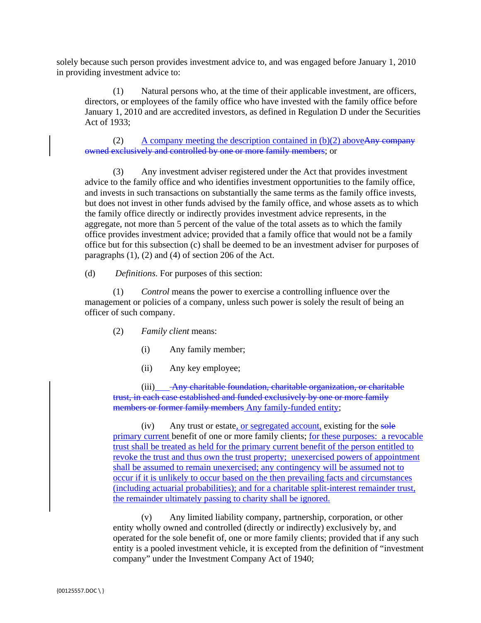solely because such person provides investment advice to, and was engaged before January 1, 2010 in providing investment advice to:

(1) Natural persons who, at the time of their applicable investment, are officers, directors, or employees of the family office who have invested with the family office before January 1, 2010 and are accredited investors, as defined in Regulation D under the Securities Act of 1933;

(2) A company meeting the description contained in  $(b)(2)$  above Any company owned exclusively and controlled by one or more family members; or

 the family office directly or indirectly provides investment advice represents, in the paragraphs (1), (2) and (4) of section 206 of the Act.<br>
(d) *Definitions*. For purposes of this section: (3) Any investment adviser registered under the Act that provides investment advice to the family office and who identifies investment opportunities to the family office, and invests in such transactions on substantially the same terms as the family office invests, but does not invest in other funds advised by the family office, and whose assets as to which aggregate, not more than 5 percent of the value of the total assets as to which the family office provides investment advice; provided that a family office that would not be a family office but for this subsection (c) shall be deemed to be an investment adviser for purposes of

 $(d)$ 

 officer of such company. (2) *Family client* means: (1) *Control* means the power to exercise a controlling influence over the management or policies of a company, unless such power is solely the result of being an

- - (i) Any family member;
	- (ii) Any key employee;

(iii) Any charitable foundation, charitable organization, or charitable trust, in each case established and funded exclusively by one or more family members or former family members Any family-funded entity;

(iv) Any trust or estate, or segregated account, existing for the sole primary current benefit of one or more family clients; for these purposes: a revocable trust shall be treated as held for the primary current benefit of the person entitled to revoke the trust and thus own the trust property; unexercised powers of appointment shall be assumed to remain unexercised; any contingency will be assumed not to occur if it is unlikely to occur based on the then prevailing facts and circumstances (including actuarial probabilities); and for a charitable split-interest remainder trust, the remainder ultimately passing to charity shall be ignored.

(v) Any limited liability company, partnership, corporation, or other entity wholly owned and controlled (directly or indirectly) exclusively by, and operated for the sole benefit of, one or more family clients; provided that if any such entity is a pooled investment vehicle, it is excepted from the definition of "investment company" under the Investment Company Act of 1940;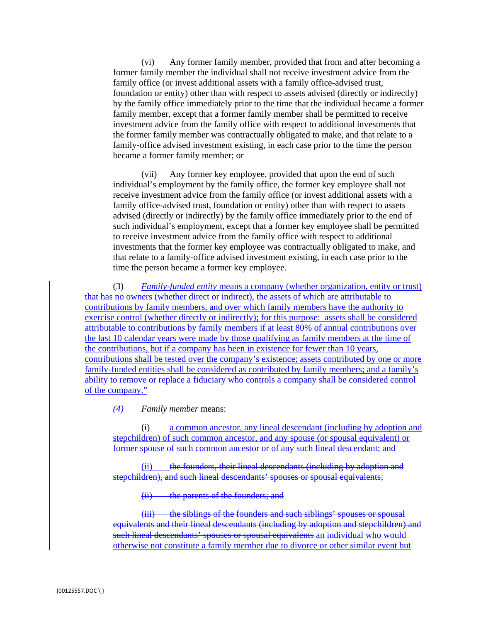(vi) Any former family member, provided that from and after becoming a former family member the individual shall not receive investment advice from the family office (or invest additional assets with a family office-advised trust, foundation or entity) other than with respect to assets advised (directly or indirectly) by the family office immediately prior to the time that the individual became a former family member, except that a former family member shall be permitted to receive investment advice from the family office with respect to additional investments that the former family member was contractually obligated to make, and that relate to a family-office advised investment existing, in each case prior to the time the person became a former family member; or

(vii) Any former key employee, provided that upon the end of such individual's employment by the family office, the former key employee shall not receive investment advice from the family office (or invest additional assets with a family office-advised trust, foundation or entity) other than with respect to assets advised (directly or indirectly) by the family office immediately prior to the end of such individual's employment, except that a former key employee shall be permitted to receive investment advice from the family office with respect to additional investments that the former key employee was contractually obligated to make, and that relate to a family-office advised investment existing, in each case prior to the time the person became a former key employee.

(3) *Family-funded entity* means a company (whether organization, entity or trust) that has no owners (whether direct or indirect), the assets of which are attributable to contributions by family members, and over which family members have the authority to exercise control (whether directly or indirectly); for this purpose: assets shall be considered attributable to contributions by family members if at least 80% of annual contributions over the last 10 calendar years were made by those qualifying as family members at the time of the contributions, but if a company has been in existence for fewer than 10 years, contributions shall be tested over the company's existence; assets contributed by one or more family-funded entities shall be considered as contributed by family members; and a family's ability to remove or replace a fiduciary who controls a company shall be considered control of the company."

*(4) Family member* means:

(i) a common ancestor, any lineal descendant (including by adoption and stepchildren) of such common ancestor, and any spouse (or spousal equivalent) or former spouse of such common ancestor or of any such lineal descendant; and

stepchildren), and such lineal descendants' spouses or spousal equivalents;<br>(ii) the parents of the founders; and (ii) the founders, their lineal descendants (including by adoption and

(iii) the siblings of the founders and such siblings' spouses or spousal equivalents and their lineal descendants (including by adoption and stepchildren) and such lineal descendants' spouses or spousal equivalents an individual who would otherwise not constitute a family member due to divorce or other similar event but